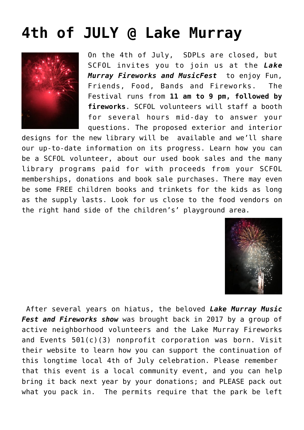## **[4th of JULY @ Lake Murray](https://sancarlosfriendsofthelibrary.org/2022/06/20/4th-of-july-lake-murray/)**



On the 4th of July, SDPLs are closed, but SCFOL invites you to join us at the *[Lake](https://www.lakemurrayfireworks.org/) [Murray Fireworks and MusicFest](https://www.lakemurrayfireworks.org/)* to enjoy Fun, Friends, Food, Bands and Fireworks. The Festival runs from **11 am to 9 pm, followed by fireworks**. SCFOL volunteers will staff a booth for several hours mid-day to answer your questions. The proposed exterior and interior

designs for the new library will be available and we'll share our up-to-date information on its progress. Learn how you can be a SCFOL volunteer, about our used book sales and the many library programs paid for with proceeds from your SCFOL memberships, donations and book sale purchases. There may even be some FREE children books and trinkets for the kids as long as the supply lasts. Look for us close to the food vendors on the right hand side of the children's' playground area.



After several years on hiatus, the beloved *[Lake Murray Music](https://www.lakemurrayfireworks.org/) [Fest and Fireworks show](https://www.lakemurrayfireworks.org/)* [w](https://www.lakemurrayfireworks.org/)as brought back in 2017 by a group of active neighborhood volunteers and the Lake Murray Fireworks and Events 501(c)(3) nonprofit corporation was born. Visit their website to learn how you can support the continuation of this longtime local 4th of July celebration. Please remember that this event is a local community event, and you can help bring it back next year by your donations; and PLEASE pack out what you pack in. The permits require that the park be left